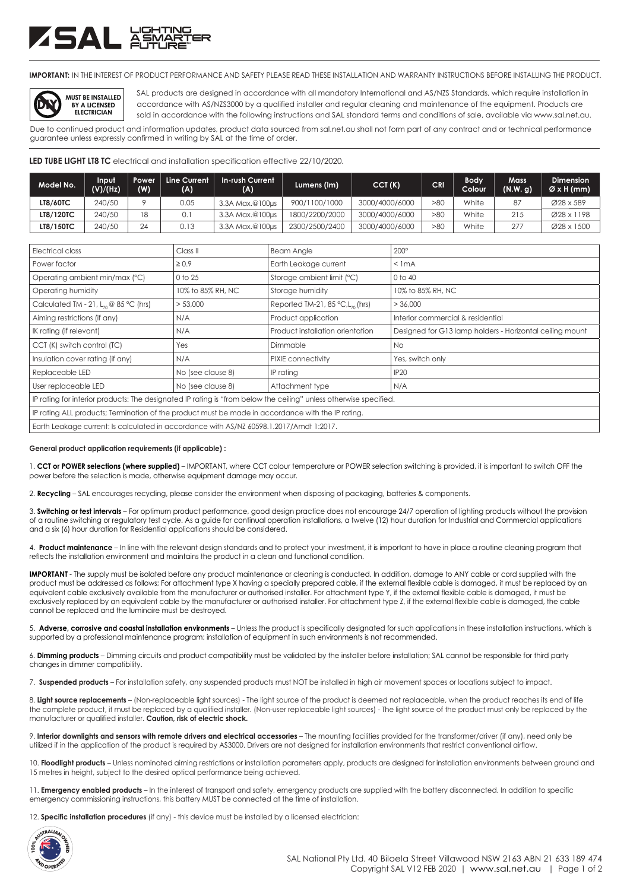# SAL XX

**IMPORTANT:** IN THE INTEREST OF PRODUCT PERFORMANCE AND SAFETY PLEASE READ THESE INSTALLATION AND WARRANTY INSTRUCTIONS BEFORE INSTALLING THE PRODUCT.



SAL products are designed in accordance with all mandatory International and AS/NZS Standards, which require installation in accordance with AS/NZS3000 by a qualified installer and regular cleaning and maintenance of the equipment. Products are sold in accordance with the following instructions and SAL standard terms and conditions of sale, available via www.sal.net.au.

Due to continued product and information updates, product data sourced from sal.net.au shall not form part of any contract and or technical performance guarantee unless expressly confirmed in writing by SAL at the time of order.

**LED TUBE LIGHT LT8 TC** electrical and installation specification effective 22/10/2020.

| Model No.        | Input<br>(V)/(Hz) | Power<br>(W)   | Line Current<br>(A) | <b>In-rush Current</b><br>(A) | Lumens (Im)    | CCT(K)         | <b>CRI</b> | <b>Body</b><br>Colour | Mass<br>(N.W. q) | <b>Dimension</b><br>$\varnothing$ x H (mm) |
|------------------|-------------------|----------------|---------------------|-------------------------------|----------------|----------------|------------|-----------------------|------------------|--------------------------------------------|
| <b>LT8/60TC</b>  | 240/50            |                | 0.05                | 3.3A Max.@100µs               | 900/1100/1000  | 3000/4000/6000 | >80        | White                 | 87               | Ø28 x 589                                  |
| <b>LT8/120TC</b> | 240/50            | $\overline{8}$ | 0.                  | 3.3A Max.@100us               | 1800/2200/2000 | 3000/4000/6000 | >80        | White                 | 215              | Ø28 x 1198                                 |
| LT8/150TC        | 240/50            | 24             | 0.13                | 3.3A Max.@100µs               | 2300/2500/2400 | 3000/4000/6000 | >80        | White                 | 277              | Ø28 x 1500                                 |

| Electrical class                                                                                                  | Class <sub>II</sub> | <b>Beam Angle</b>                               | $200^\circ$                                              |  |  |  |  |
|-------------------------------------------------------------------------------------------------------------------|---------------------|-------------------------------------------------|----------------------------------------------------------|--|--|--|--|
| Power factor                                                                                                      | $\geq 0.9$          | Earth Leakage current                           | $<$ 1 mA                                                 |  |  |  |  |
| Operating ambient min/max (°C)                                                                                    | 0 to 25             | Storage ambient limit (°C)                      | $0$ to $40$                                              |  |  |  |  |
| Operating humidity                                                                                                | 10% to 85% RH, NC   | Storage humidity                                | 10% to 85% RH, NC                                        |  |  |  |  |
| Calculated TM - 21, $L_{70}$ @ 85 °C (hrs)                                                                        | > 53,000            | Reported TM-21, 85 $°C$ , L <sub>70</sub> (hrs) | > 36,000                                                 |  |  |  |  |
| Aiming restrictions (if any)                                                                                      | N/A                 | Product application                             | Interior commercial & residential                        |  |  |  |  |
| IK rating (if relevant)                                                                                           | N/A                 | Product installation orientation                | Designed for G13 lamp holders - Horizontal ceiling mount |  |  |  |  |
| CCT (K) switch control (TC)                                                                                       | Yes                 | Dimmable                                        | <b>No</b>                                                |  |  |  |  |
| Insulation cover rating (if any)                                                                                  | N/A                 | PIXIE connectivity                              | Yes, switch only                                         |  |  |  |  |
| Replaceable LED                                                                                                   | No (see clause 8)   | IP rating                                       | <b>IP20</b>                                              |  |  |  |  |
| User replaceable LED                                                                                              | No (see clause 8)   | Attachment type                                 | N/A                                                      |  |  |  |  |
| IP rating for interior products: The designated IP rating is "from below the ceiling" unless otherwise specified. |                     |                                                 |                                                          |  |  |  |  |
| IP rating ALL products; Termination of the product must be made in accordance with the IP rating.                 |                     |                                                 |                                                          |  |  |  |  |
| Earth Leakage current: Is calculated in accordance with AS/NZ 60598.1.2017/Amdt 1:2017.                           |                     |                                                 |                                                          |  |  |  |  |

#### **General product application requirements (if applicable) :**

1. **CCT or POWER selections (where supplied)** – IMPORTANT, where CCT colour temperature or POWER selection switching is provided, it is important to switch OFF the power before the selection is made, otherwise equipment damage may occur.

2. **Recycling** – SAL encourages recycling, please consider the environment when disposing of packaging, batteries & components.

3. **Switching or test intervals** – For optimum product performance, good design practice does not encourage 24/7 operation of lighting products without the provision of a routine switching or regulatory test cycle. As a guide for continual operation installations, a twelve (12) hour duration for Industrial and Commercial applications and a six (6) hour duration for Residential applications should be considered.

4. **Product maintenance** – In line with the relevant design standards and to protect your investment, it is important to have in place a routine cleaning program that reflects the installation environment and maintains the product in a clean and functional condition.

**IMPORTANT** - The supply must be isolated before any product maintenance or cleaning is conducted. In addition, damage to ANY cable or cord supplied with the product must be addressed as follows; For attachment type X having a specially prepared cable, if the external flexible cable is damaged, it must be replaced by an equivalent cable exclusively available from the manufacturer or authorised installer. For attachment type Y, if the external flexible cable is damaged, it must be exclusively replaced by an equivalent cable by the manufacturer or authorised installer. For attachment type Z, if the external flexible cable is damaged, the cable cannot be replaced and the luminaire must be destroyed.

5. **Adverse, corrosive and coastal installation environments** – Unless the product is specifically designated for such applications in these installation instructions, which is supported by a professional maintenance program; installation of equipment in such environments is not recommended.

6. **Dimming products** – Dimming circuits and product compatibility must be validated by the installer before installation; SAL cannot be responsible for third party changes in dimmer compatibility.

7. **Suspended products** – For installation safety, any suspended products must NOT be installed in high air movement spaces or locations subject to impact.

8. Light source replacements - (Non-replaceable light sources) - The light source of the product is deemed not replaceable, when the product reaches its end of life the complete product, it must be replaced by a qualified installer. (Non-user replaceable light sources) - The light source of the product must only be replaced by the manufacturer or qualified installer. **Caution, risk of electric shock.**

9. **Interior downlights and sensors with remote drivers and electrical accessories** – The mounting facilities provided for the transformer/driver (if any), need only be utilized if in the application of the product is required by AS3000. Drivers are not designed for installation environments that restrict conventional airflow.

10. Floodlight products - Unless nominated aiming restrictions or installation parameters apply, products are designed for installation environments between ground and 15 metres in height, subject to the desired optical performance being achieved.

11. **Emergency enabled products** – In the interest of transport and safety, emergency products are supplied with the battery disconnected. In addition to specific emergency commissioning instructions, this battery MUST be connected at the time of installation.

12. **Specific installation procedures** (if any) - this device must be installed by a licensed electrician: